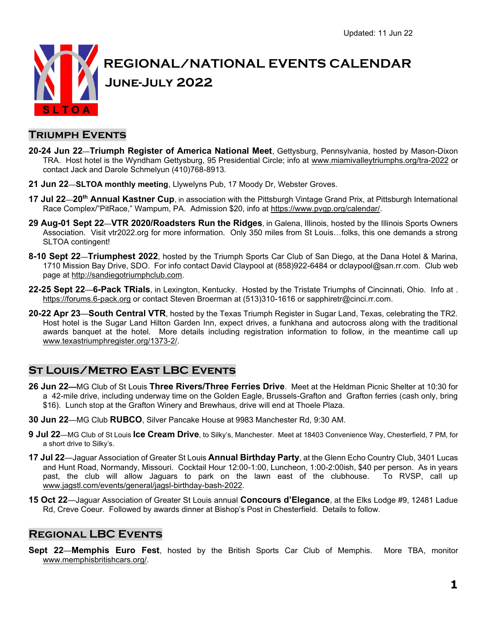

### **Triumph Events**

- **20-24 Jun 22**—**Triumph Register of America National Meet**, Gettysburg, Pennsylvania, hosted by Mason-Dixon TRA. Host hotel is the Wyndham Gettysburg, 95 Presidential Circle; info at www.miamivalleytriumphs.org/tra-2022 or contact Jack and Darole Schmelyun (410)768-8913.
- **21 Jun 22**—**SLTOA monthly meeting**, Llywelyns Pub, 17 Moody Dr, Webster Groves.
- **17 Jul 22**—**20th Annual Kastner Cup**, in association with the Pittsburgh Vintage Grand Prix, at Pittsburgh International Race Complex/"PitRace," Wampum, PA. Admission \$20, info at https://www.pvgp.org/calendar/.
- **29 Aug-01 Sept 22**—**VTR 2020/Roadsters Run the Ridges**, in Galena, Illinois, hosted by the Illinois Sports Owners Association. Visit vtr2022.org for more information. Only 350 miles from St Louis…folks, this one demands a strong SLTOA contingent!
- **8-10 Sept 22**—**Triumphest 2022**, hosted by the Triumph Sports Car Club of San Diego, at the Dana Hotel & Marina, 1710 Mission Bay Drive, SDO. For info contact David Claypool at (858)922-6484 or dclaypool@san.rr.com. Club web page at http://sandiegotriumphclub.com.
- **22-25 Sept 22**—**6-Pack TRials**, in Lexington, Kentucky. Hosted by the Tristate Triumphs of Cincinnati, Ohio. Info at . https://forums.6-pack.org or contact Steven Broerman at (513)310-1616 or sapphiretr@cinci.rr.com.
- **20-22 Apr 23**—**South Central VTR**, hosted by the Texas Triumph Register in Sugar Land, Texas, celebrating the TR2. Host hotel is the Sugar Land Hilton Garden Inn, expect drives, a funkhana and autocross along with the traditional awards banquet at the hotel. More details including registration information to follow, in the meantime call up www.texastriumphregister.org/1373-2/.

# **St Louis/Metro East LBC Events**

- **26 Jun 22—**MG Club of St Louis **Three Rivers/Three Ferries Drive**. Meet at the Heldman Picnic Shelter at 10:30 for a 42-mile drive, including underway time on the Golden Eagle, Brussels-Grafton and Grafton ferries (cash only, bring \$16). Lunch stop at the Grafton Winery and Brewhaus, drive will end at Thoele Plaza.
- **30 Jun 22**—MG Club **RUBCO**, Silver Pancake House at 9983 Manchester Rd, 9:30 AM.
- **9 Jul 22**—MG Club of St Louis **Ice Cream Drive**, to Silky's, Manchester. Meet at 18403 Convenience Way, Chesterfield, 7 PM, for a short drive to Silky's.
- **17 Jul 22**—Jaguar Association of Greater St Louis **Annual Birthday Party**, at the Glenn Echo Country Club, 3401 Lucas and Hunt Road, Normandy, Missouri. Cocktail Hour 12:00-1:00, Luncheon, 1:00-2:00ish, \$40 per person. As in years past, the club will allow Jaguars to park on the lawn east of the clubhouse. To RVSP, call up www.jagstl.com/events/general/jagsl-birthday-bash-2022.
- **15 Oct 22**—Jaguar Association of Greater St Louis annual **Concours d'Elegance**, at the Elks Lodge #9, 12481 Ladue Rd, Creve Coeur. Followed by awards dinner at Bishop's Post in Chesterfield. Details to follow.

## **Regional LBC Events**

**Sept 22**—**Memphis Euro Fest**, hosted by the British Sports Car Club of Memphis. More TBA, monitor www.memphisbritishcars.org/.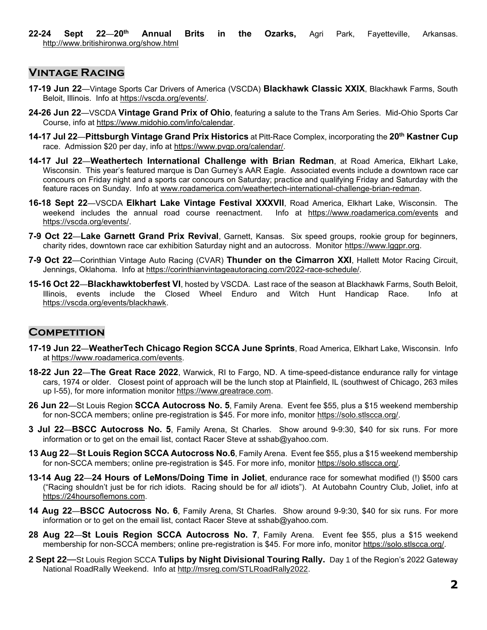### **Vintage Racing**

- **17-19 Jun 22**—Vintage Sports Car Drivers of America (VSCDA) **Blackhawk Classic XXIX**, Blackhawk Farms, South Beloit, Illinois. Info at https://vscda.org/events/.
- **24-26 Jun 22**—VSCDA **Vintage Grand Prix of Ohio**, featuring a salute to the Trans Am Series. Mid-Ohio Sports Car Course, info at https://www.midohio.com/info/calendar.
- **14-17 Jul 22**—**Pittsburgh Vintage Grand Prix Historics** at Pitt-Race Complex, incorporating the **20th Kastner Cup** race. Admission \$20 per day, info at https://www.pvgp.org/calendar/.
- **14-17 Jul 22**—**Weathertech International Challenge with Brian Redman**, at Road America, Elkhart Lake, Wisconsin. This year's featured marque is Dan Gurney's AAR Eagle. Associated events include a downtown race car concours on Friday night and a sports car concours on Saturday; practice and qualifying Friday and Saturday with the feature races on Sunday. Info at www.roadamerica.com/weathertech-international-challenge-brian-redman.
- **16-18 Sept 22**—VSCDA **Elkhart Lake Vintage Festival XXXVII**, Road America, Elkhart Lake, Wisconsin. The weekend includes the annual road course reenactment. Info at https://www.roadamerica.com/events and https://vscda.org/events/.
- **7-9 Oct 22**—**Lake Garnett Grand Prix Revival**, Garnett, Kansas. Six speed groups, rookie group for beginners, charity rides, downtown race car exhibition Saturday night and an autocross. Monitor https://www.lggpr.org.
- **7-9 Oct 22**—Corinthian Vintage Auto Racing (CVAR) **Thunder on the Cimarron XXI**, Hallett Motor Racing Circuit, Jennings, Oklahoma. Info at https://corinthianvintageautoracing.com/2022-race-schedule/.
- **15-16 Oct 22**—**Blackhawktoberfest VI**, hosted by VSCDA. Last race of the season at Blackhawk Farms, South Beloit, Illinois, events include the Closed Wheel Enduro and Witch Hunt Handicap Race. Info at https://vscda.org/events/blackhawk.

## **COMPETITION**

- **17-19 Jun 22**—**WeatherTech Chicago Region SCCA June Sprints**, Road America, Elkhart Lake, Wisconsin. Info at https://www.roadamerica.com/events.
- **18-22 Jun 22**—**The Great Race 2022**, Warwick, RI to Fargo, ND. A time-speed-distance endurance rally for vintage cars, 1974 or older. Closest point of approach will be the lunch stop at Plainfield, IL (southwest of Chicago, 263 miles up I-55), for more information monitor https://www.greatrace.com.
- **26 Jun 22**—St Louis Region **SCCA Autocross No. 5**, Family Arena. Event fee \$55, plus a \$15 weekend membership for non-SCCA members; online pre-registration is \$45. For more info, monitor https://solo.stlscca.org/.
- **3 Jul 22**—**BSCC Autocross No. 5**, Family Arena, St Charles. Show around 9-9:30, \$40 for six runs. For more information or to get on the email list, contact Racer Steve at sshab@yahoo.com.
- **13 Aug 22**—**St Louis Region SCCA Autocross No.6**, Family Arena. Event fee \$55, plus a \$15 weekend membership for non-SCCA members; online pre-registration is \$45. For more info, monitor https://solo.stlscca.org/.
- **13-14 Aug 22**—**24 Hours of LeMons/Doing Time in Joliet**, endurance race for somewhat modified (!) \$500 cars ("Racing shouldn't just be for rich idiots. Racing should be for *all* idiots"). At Autobahn Country Club, Joliet, info at https://24hoursoflemons.com.
- **14 Aug 22**—**BSCC Autocross No. 6**, Family Arena, St Charles. Show around 9-9:30, \$40 for six runs. For more information or to get on the email list, contact Racer Steve at sshab@yahoo.com.
- **28 Aug 22**—**St Louis Region SCCA Autocross No. 7**, Family Arena. Event fee \$55, plus a \$15 weekend membership for non-SCCA members; online pre-registration is \$45. For more info, monitor https://solo.stlscca.org/.
- **2 Sept 22**—St Louis Region SCCA **Tulips by Night Divisional Touring Rally.** Day 1 of the Region's 2022 Gateway National RoadRally Weekend. Info at http://msreg.com/STLRoadRally2022.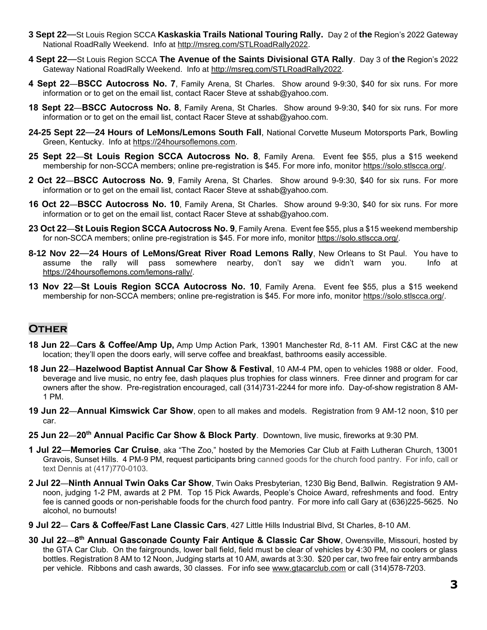- **3 Sept 22**—St Louis Region SCCA **Kaskaskia Trails National Touring Rally.** Day 2 of **the** Region's 2022 Gateway National RoadRally Weekend. Info at http://msreg.com/STLRoadRally2022.
- **4 Sept 22**—St Louis Region SCCA **The Avenue of the Saints Divisional GTA Rally**. Day 3 of **the** Region's 2022 Gateway National RoadRally Weekend. Info at http://msreg.com/STLRoadRally2022.
- **4 Sept 22**—**BSCC Autocross No. 7**, Family Arena, St Charles. Show around 9-9:30, \$40 for six runs. For more information or to get on the email list, contact Racer Steve at sshab@yahoo.com.
- **18 Sept 22**—**BSCC Autocross No. 8**, Family Arena, St Charles. Show around 9-9:30, \$40 for six runs. For more information or to get on the email list, contact Racer Steve at sshab@yahoo.com.
- **24-25 Sept 22**—**24 Hours of LeMons/Lemons South Fall**, National Corvette Museum Motorsports Park, Bowling Green, Kentucky. Info at https://24hoursoflemons.com.
- **25 Sept 22**—**St Louis Region SCCA Autocross No. 8**, Family Arena. Event fee \$55, plus a \$15 weekend membership for non-SCCA members; online pre-registration is \$45. For more info, monitor https://solo.stlscca.org/.
- **2 Oct 22**—**BSCC Autocross No. 9**, Family Arena, St Charles. Show around 9-9:30, \$40 for six runs. For more information or to get on the email list, contact Racer Steve at sshab@yahoo.com.
- **16 Oct 22**—**BSCC Autocross No. 10**, Family Arena, St Charles. Show around 9-9:30, \$40 for six runs. For more information or to get on the email list, contact Racer Steve at sshab@yahoo.com.
- **23 Oct 22**—**St Louis Region SCCA Autocross No. 9**, Family Arena. Event fee \$55, plus a \$15 weekend membership for non-SCCA members; online pre-registration is \$45. For more info, monitor https://solo.stlscca.org/.
- **8-12 Nov 22**—**24 Hours of LeMons/Great River Road Lemons Rally**, New Orleans to St Paul. You have to assume the rally will pass somewhere nearby, don't say we didn't warn you. Info at https://24hoursoflemons.com/lemons-rally/.
- **13 Nov 22**—**St Louis Region SCCA Autocross No. 10**, Family Arena. Event fee \$55, plus a \$15 weekend membership for non-SCCA members; online pre-registration is \$45. For more info, monitor https://solo.stlscca.org/.

## **Other**

- **18 Jun 22**—**Cars & Coffee/Amp Up,** Amp Ump Action Park, 13901 Manchester Rd, 8-11 AM. First C&C at the new location; they'll open the doors early, will serve coffee and breakfast, bathrooms easily accessible.
- **18 Jun 22**—**Hazelwood Baptist Annual Car Show & Festival**, 10 AM-4 PM, open to vehicles 1988 or older. Food, beverage and live music, no entry fee, dash plaques plus trophies for class winners. Free dinner and program for car owners after the show. Pre-registration encouraged, call (314)731-2244 for more info. Day-of-show registration 8 AM-1 PM.
- **19 Jun 22**—**Annual Kimswick Car Show**, open to all makes and models. Registration from 9 AM-12 noon, \$10 per car.
- **25 Jun 22**—**20th Annual Pacific Car Show & Block Party**. Downtown, live music, fireworks at 9:30 PM.
- **1 Jul 22**—**Memories Car Cruise**, aka "The Zoo," hosted by the Memories Car Club at Faith Lutheran Church, 13001 Gravois, Sunset Hills. 4 PM-9 PM, request participants bring canned goods for the church food pantry. For info, call or text Dennis at (417)770-0103.
- **2 Jul 22**—**Ninth Annual Twin Oaks Car Show**, Twin Oaks Presbyterian, 1230 Big Bend, Ballwin. Registration 9 AMnoon, judging 1-2 PM, awards at 2 PM. Top 15 Pick Awards, People's Choice Award, refreshments and food. Entry fee is canned goods or non-perishable foods for the church food pantry. For more info call Gary at (636)225-5625. No alcohol, no burnouts!
- **9 Jul 22 Cars & Coffee/Fast Lane Classic Cars**, 427 Little Hills Industrial Blvd, St Charles, 8-10 AM.
- **30 Jul 22**—**8 th Annual Gasconade County Fair Antique & Classic Car Show**, Owensville, Missouri, hosted by the GTA Car Club. On the fairgrounds, lower ball field, field must be clear of vehicles by 4:30 PM, no coolers or glass bottles. Registration 8 AM to 12 Noon, Judging starts at 10 AM, awards at 3:30. \$20 per car, two free fair entry armbands per vehicle. Ribbons and cash awards, 30 classes. For info see www.gtacarclub.com or call (314)578-7203.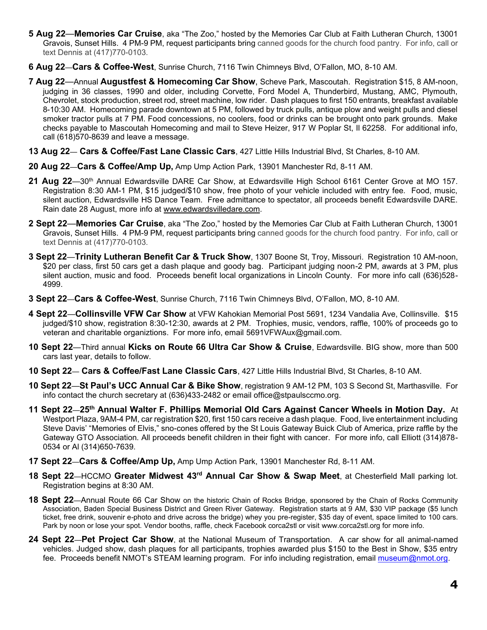- **5 Aug 22**—**Memories Car Cruise**, aka "The Zoo," hosted by the Memories Car Club at Faith Lutheran Church, 13001 Gravois, Sunset Hills. 4 PM-9 PM, request participants bring canned goods for the church food pantry. For info, call or text Dennis at (417)770-0103.
- **6 Aug 22**—**Cars & Coffee-West**, Sunrise Church, 7116 Twin Chimneys Blvd, O'Fallon, MO, 8-10 AM.
- **7 Aug 22**—Annual **Augustfest & Homecoming Car Show**, Scheve Park, Mascoutah. Registration \$15, 8 AM-noon, judging in 36 classes, 1990 and older, including Corvette, Ford Model A, Thunderbird, Mustang, AMC, Plymouth, Chevrolet, stock production, street rod, street machine, low rider. Dash plaques to first 150 entrants, breakfast available 8-10:30 AM. Homecoming parade downtown at 5 PM, followed by truck pulls, antique plow and weight pulls and diesel smoker tractor pulls at 7 PM. Food concessions, no coolers, food or drinks can be brought onto park grounds. Make checks payable to Mascoutah Homecoming and mail to Steve Heizer, 917 W Poplar St, Il 62258. For additional info, call (618)570-8639 and leave a message.
- **13 Aug 22 Cars & Coffee/Fast Lane Classic Cars**, 427 Little Hills Industrial Blvd, St Charles, 8-10 AM.
- **20 Aug 22**—**Cars & Coffee/Amp Up,** Amp Ump Action Park, 13901 Manchester Rd, 8-11 AM.
- **21 Aug 22**—30th Annual Edwardsville DARE Car Show, at Edwardsville High School 6161 Center Grove at MO 157. Registration 8:30 AM-1 PM, \$15 judged/\$10 show, free photo of your vehicle included with entry fee. Food, music, silent auction, Edwardsville HS Dance Team. Free admittance to spectator, all proceeds benefit Edwardsville DARE. Rain date 28 August, more info at www.edwardsvilledare.com.
- **2 Sept 22**—**Memories Car Cruise**, aka "The Zoo," hosted by the Memories Car Club at Faith Lutheran Church, 13001 Gravois, Sunset Hills. 4 PM-9 PM, request participants bring canned goods for the church food pantry. For info, call or text Dennis at (417)770-0103.
- **3 Sept 22**—**Trinity Lutheran Benefit Car & Truck Show**, 1307 Boone St, Troy, Missouri. Registration 10 AM-noon, \$20 per class, first 50 cars get a dash plaque and goody bag. Participant judging noon-2 PM, awards at 3 PM, plus silent auction, music and food. Proceeds benefit local organizations in Lincoln County. For more info call (636)528- 4999.
- **3 Sept 22**—**Cars & Coffee-West**, Sunrise Church, 7116 Twin Chimneys Blvd, O'Fallon, MO, 8-10 AM.
- **4 Sept 22**—**Collinsville VFW Car Show** at VFW Kahokian Memorial Post 5691, 1234 Vandalia Ave, Collinsville. \$15 judged/\$10 show, registration 8:30-12:30, awards at 2 PM. Trophies, music, vendors, raffle, 100% of proceeds go to veteran and charitable organiztions. For more info, email 5691VFWAux@gmail.com.
- **10 Sept 22**—Third annual **Kicks on Route 66 Ultra Car Show & Cruise**, Edwardsville. BIG show, more than 500 cars last year, details to follow.
- **10 Sept 22 Cars & Coffee/Fast Lane Classic Cars**, 427 Little Hills Industrial Blvd, St Charles, 8-10 AM.
- **10 Sept 22**—**St Paul's UCC Annual Car & Bike Show**, registration 9 AM-12 PM, 103 S Second St, Marthasville. For info contact the church secretary at (636)433-2482 or email office@stpaulsccmo.org.
- **11 Sept 22**—**25th Annual Walter F. Phillips Memorial Old Cars Against Cancer Wheels in Motion Day.** At Westport Plaza, 9AM-4 PM, car registration \$20, first 150 cars receive a dash plaque. Food, live entertainment including Steve Davis' "Memories of Elvis," sno-cones offered by the St Louis Gateway Buick Club of America, prize raffle by the Gateway GTO Association. All proceeds benefit children in their fight with cancer. For more info, call Elliott (314)878- 0534 or Al (314)650-7639.
- **17 Sept 22**—**Cars & Coffee/Amp Up,** Amp Ump Action Park, 13901 Manchester Rd, 8-11 AM.
- **18 Sept 22**—HCCMO **Greater Midwest 43rd Annual Car Show & Swap Meet**, at Chesterfield Mall parking lot. Registration begins at 8:30 AM.
- **18 Sept 22**—Annual Route 66 Car Show on the historic Chain of Rocks Bridge, sponsored by the Chain of Rocks Community Association, Baden Special Business District and Green River Gateway. Registration starts at 9 AM, \$30 VIP package (\$5 lunch ticket, free drink, souvenir e-photo and drive across the bridge) whey you pre-register, \$35 day of event, space limited to 100 cars. Park by noon or lose your spot. Vendor booths, raffle, check Facebook corca2stl or visit www.corca2stl.org for more info.
- **24 Sept 22**—**Pet Project Car Show**, at the National Museum of Transportation. A car show for all animal-named vehicles. Judged show, dash plaques for all participants, trophies awarded plus \$150 to the Best in Show, \$35 entry fee. Proceeds benefit NMOT's STEAM learning program. For info including registration, email [museum@nmot.org.](mailto:museum@nmot.org)